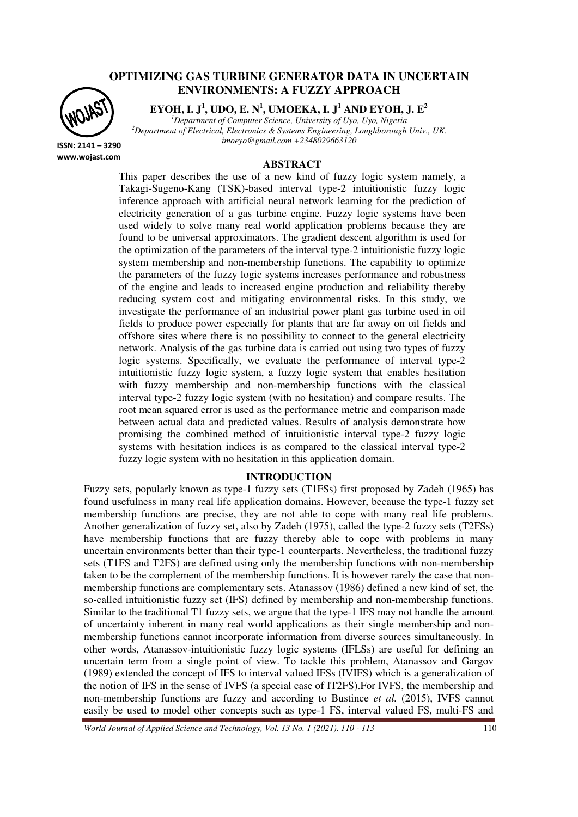# **OPTIMIZING GAS TURBINE GENERATOR DATA IN UNCERTAIN ENVIRONMENTS: A FUZZY APPROACH**



**EYOH, I. J<sup>1</sup> , UDO, E. N<sup>1</sup> , UMOEKA, I. J<sup>1</sup> AND EYOH, J. E<sup>2</sup>**

*<sup>1</sup>Department of Computer Science, University of Uyo, Uyo, Nigeria <sup>2</sup>Department of Electrical, Electronics & Systems Engineering, Loughborough Univ., UK. imoeyo@gmail.com +2348029663120* 

**ISSN: 2141 – 3290 www.wojast.com**

#### **ABSTRACT**

This paper describes the use of a new kind of fuzzy logic system namely, a Takagi-Sugeno-Kang (TSK)-based interval type-2 intuitionistic fuzzy logic inference approach with artificial neural network learning for the prediction of electricity generation of a gas turbine engine. Fuzzy logic systems have been used widely to solve many real world application problems because they are found to be universal approximators. The gradient descent algorithm is used for the optimization of the parameters of the interval type-2 intuitionistic fuzzy logic system membership and non-membership functions. The capability to optimize the parameters of the fuzzy logic systems increases performance and robustness of the engine and leads to increased engine production and reliability thereby reducing system cost and mitigating environmental risks. In this study, we investigate the performance of an industrial power plant gas turbine used in oil fields to produce power especially for plants that are far away on oil fields and offshore sites where there is no possibility to connect to the general electricity network. Analysis of the gas turbine data is carried out using two types of fuzzy logic systems. Specifically, we evaluate the performance of interval type-2 intuitionistic fuzzy logic system, a fuzzy logic system that enables hesitation with fuzzy membership and non-membership functions with the classical interval type-2 fuzzy logic system (with no hesitation) and compare results. The root mean squared error is used as the performance metric and comparison made between actual data and predicted values. Results of analysis demonstrate how promising the combined method of intuitionistic interval type-2 fuzzy logic systems with hesitation indices is as compared to the classical interval type-2 fuzzy logic system with no hesitation in this application domain.

# **INTRODUCTION**

Fuzzy sets, popularly known as type-1 fuzzy sets (T1FSs) first proposed by Zadeh (1965) has found usefulness in many real life application domains. However, because the type-1 fuzzy set membership functions are precise, they are not able to cope with many real life problems. Another generalization of fuzzy set, also by Zadeh (1975), called the type-2 fuzzy sets (T2FSs) have membership functions that are fuzzy thereby able to cope with problems in many uncertain environments better than their type-1 counterparts. Nevertheless, the traditional fuzzy sets (T1FS and T2FS) are defined using only the membership functions with non-membership taken to be the complement of the membership functions. It is however rarely the case that nonmembership functions are complementary sets. Atanassov (1986) defined a new kind of set, the so-called intuitionistic fuzzy set (IFS) defined by membership and non-membership functions. Similar to the traditional T1 fuzzy sets, we argue that the type-1 IFS may not handle the amount of uncertainty inherent in many real world applications as their single membership and nonmembership functions cannot incorporate information from diverse sources simultaneously. In other words, Atanassov-intuitionistic fuzzy logic systems (IFLSs) are useful for defining an uncertain term from a single point of view. To tackle this problem, Atanassov and Gargov (1989) extended the concept of IFS to interval valued IFSs (IVIFS) which is a generalization of the notion of IFS in the sense of IVFS (a special case of IT2FS).For IVFS, the membership and non-membership functions are fuzzy and according to Bustince *et al.* (2015), IVFS cannot easily be used to model other concepts such as type-1 FS, interval valued FS, multi-FS and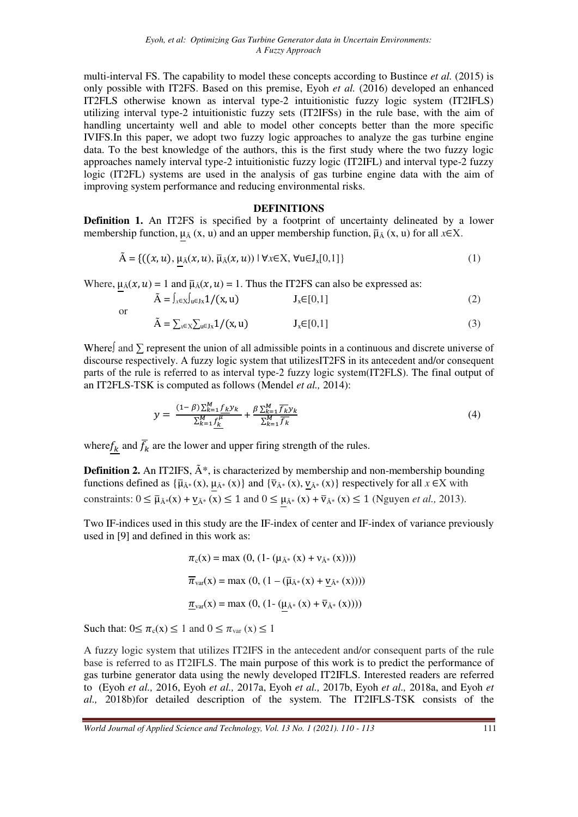multi-interval FS. The capability to model these concepts according to Bustince *et al.* (2015) is only possible with IT2FS. Based on this premise, Eyoh *et al.* (2016) developed an enhanced IT2FLS otherwise known as interval type-2 intuitionistic fuzzy logic system (IT2IFLS) utilizing interval type-2 intuitionistic fuzzy sets (IT2IFSs) in the rule base, with the aim of handling uncertainty well and able to model other concepts better than the more specific IVIFS.In this paper, we adopt two fuzzy logic approaches to analyze the gas turbine engine data. To the best knowledge of the authors, this is the first study where the two fuzzy logic approaches namely interval type-2 intuitionistic fuzzy logic (IT2IFL) and interval type-2 fuzzy logic (IT2FL) systems are used in the analysis of gas turbine engine data with the aim of improving system performance and reducing environmental risks.

#### **DEFINITIONS**

**Definition 1.** An IT2FS is specified by a footprint of uncertainty delineated by a lower membership function,  $\mu_{\bar{A}}(x, u)$  and an upper membership function,  $\bar{\mu}_{\bar{A}}(x, u)$  for all  $x \in X$ .

$$
\tilde{A} = \{ ((x, u), \mu_{\tilde{A}}(x, u), \overline{\mu}_{\tilde{A}}(x, u)) \mid \forall x \in X, \forall u \in J_x[0, 1] \}
$$
\n
$$
(1)
$$

Where,  $\mu_{\tilde{A}}(x, u) = 1$  and  $\bar{\mu}_{\tilde{A}}(x, u) = 1$ . Thus the IT2FS can also be expressed as:

$$
\tilde{A} = J_{x \in X} J_{u \in J_X} 1/(x, u) \qquad J_x \in [0, 1]
$$

$$
\tilde{A} = \sum_{x \in X} \sum_{u \in Jx} 1/(x, u) \qquad J_x \in [0, 1]
$$
 (3)

Where∫ and ∑ represent the union of all admissible points in a continuous and discrete universe of discourse respectively. A fuzzy logic system that utilizesIT2FS in its antecedent and/or consequent parts of the rule is referred to as interval type-2 fuzzy logic system(IT2FLS). The final output of an IT2FLS-TSK is computed as follows (Mendel *et al.,* 2014):

$$
y = \frac{(1-\beta)\sum_{k=1}^{M} \underbrace{f_k y_k}}{\sum_{k=1}^{M} \underbrace{f_k'}{\sum_{k=1}^{M}}} + \frac{\beta \sum_{k=1}^{M} \overline{f_k} y_k}{\sum_{k=1}^{M} \overline{f_k}}
$$
(4)

where  $f_k$  and  $\bar{f}_k$  are the lower and upper firing strength of the rules.

**Definition 2.** An IT2IFS,  $\tilde{A}^*$ , is characterized by membership and non-membership bounding functions defined as  $\{\bar{\mu}_{\tilde{\Lambda}^*}(x), \mu_{\tilde{\Lambda}^*}(x)\}$  and  $\{\bar{v}_{\tilde{\Lambda}^*}(x), \underline{v}_{\tilde{\Lambda}^*}(x)\}$  respectively for all  $x \in X$  with constraints:  $0 \le \bar{\mu}_{\bar{A}^*}(x) + \underline{v}_{\bar{A}^*}(x) \le 1$  and  $0 \le \mu_{\bar{A}^*}(x) + \bar{v}_{\bar{A}^*}(x) \le 1$  (Nguyen *et al.,* 2013).

Two IF-indices used in this study are the IF-index of center and IF-index of variance previously used in [9] and defined in this work as:

$$
\pi_c(x) = \max (0, (1 - (\mu_{\tilde{A}^*}(x) + \nu_{\tilde{A}^*}(x))))
$$

$$
\overline{\pi}_{var}(x) = \max (0, (1 - (\overline{\mu}_{\tilde{A}^*}(x) + \underline{\nu}_{\tilde{A}^*}(x))))
$$

$$
\underline{\pi}_{var}(x) = \max (0, (1 - (\mu_{\tilde{A}^*}(x) + \overline{\nu}_{\tilde{A}^*}(x))))
$$

Such that:  $0 \leq \pi_c(x) \leq 1$  and  $0 \leq \pi_{var}(x) \leq 1$ 

or

A fuzzy logic system that utilizes IT2IFS in the antecedent and/or consequent parts of the rule base is referred to as IT2IFLS. The main purpose of this work is to predict the performance of gas turbine generator data using the newly developed IT2IFLS. Interested readers are referred to (Eyoh *et al.,* 2016, Eyoh *et al.,* 2017a, Eyoh *et al.,* 2017b, Eyoh *et al.,* 2018a, and Eyoh *et al.,* 2018b)for detailed description of the system. The IT2IFLS-TSK consists of the

*World Journal of Applied Science and Technology, Vol. 13 No. 1 (2021). 110 - 113* 111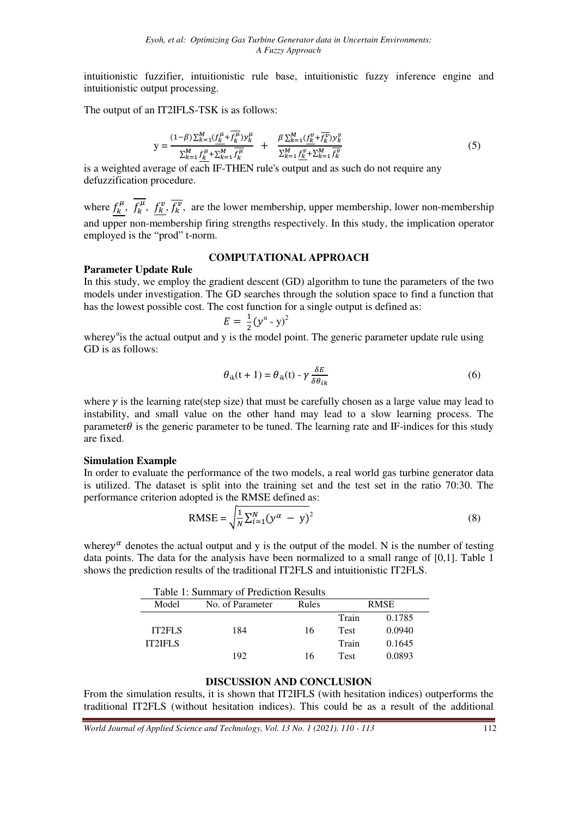intuitionistic fuzzifier, intuitionistic rule base, intuitionistic fuzzy inference engine and intuitionistic output processing.

The output of an IT2IFLS-TSK is as follows:

$$
y = \frac{(1-\beta)\sum_{k=1}^{M} (f_k^{\mu} + \overline{f_k^{\mu}}) y_k^{\mu}}{\sum_{k=1}^{M} f_k^{\mu} + \sum_{k=1}^{M} \overline{f_k^{\mu}}} + \frac{\beta \sum_{k=1}^{M} (f_k^{\nu} + \overline{f_k^{\nu}}) y_k^{\nu}}{\sum_{k=1}^{M} f_k^{\nu} + \sum_{k=1}^{M} \overline{f_k^{\nu}}}
$$
(5)

is a weighted average of each IF-THEN rule's output and as such do not require any defuzzification procedure.

where  $f_k^{\mu}$ ,  $f_k^{\nu}$ ,  $f_k^{\nu}$ ,  $f_k^{\nu}$ , are the lower membership, upper membership, lower non-membership and upper non-membership firing strengths respectively. In this study, the implication operator employed is the "prod" t-norm.

# **COMPUTATIONAL APPROACH**

# **Parameter Update Rule**

In this study, we employ the gradient descent (GD) algorithm to tune the parameters of the two models under investigation. The GD searches through the solution space to find a function that has the lowest possible cost. The cost function for a single output is defined as:

$$
E = \frac{1}{2} (y^a \cdot y)^2
$$

where  $y^{\alpha}$  is the actual output and y is the model point. The generic parameter update rule using GD is as follows:

$$
\theta_{ik}(t+1) = \theta_{ik}(t) - \gamma \frac{\delta E}{\delta \theta_{ik}} \tag{6}
$$

where  $\gamma$  is the learning rate(step size) that must be carefully chosen as a large value may lead to instability, and small value on the other hand may lead to a slow learning process. The parameter $\theta$  is the generic parameter to be tuned. The learning rate and IF-indices for this study are fixed.

### **Simulation Example**

In order to evaluate the performance of the two models, a real world gas turbine generator data is utilized. The dataset is split into the training set and the test set in the ratio 70:30. The performance criterion adopted is the RMSE defined as:

$$
\text{RMSE} = \sqrt{\frac{1}{N} \sum_{i=1}^{N} (y^{\alpha} - y)^2}
$$
 (8)

where  $y^{\alpha}$  denotes the actual output and y is the output of the model. N is the number of testing data points. The data for the analysis have been normalized to a small range of [0,1]. Table 1 shows the prediction results of the traditional IT2FLS and intuitionistic IT2FLS.

| Table 1: Summary of Prediction Results |                |                  |       |             |        |
|----------------------------------------|----------------|------------------|-------|-------------|--------|
|                                        | Model          | No. of Parameter | Rules | <b>RMSE</b> |        |
|                                        |                |                  |       | Train       | 0.1785 |
|                                        | <b>IT2FLS</b>  | 184              | 16    | <b>Test</b> | 0.0940 |
|                                        | <b>IT2IFLS</b> |                  |       | Train       | 0.1645 |
|                                        |                | 192              | 16    | <b>Test</b> | 0.0893 |

### **DISCUSSION AND CONCLUSION**

From the simulation results, it is shown that IT2IFLS (with hesitation indices) outperforms the traditional IT2FLS (without hesitation indices). This could be as a result of the additional

*World Journal of Applied Science and Technology, Vol. 13 No. 1 (2021). 110 - 113* 112